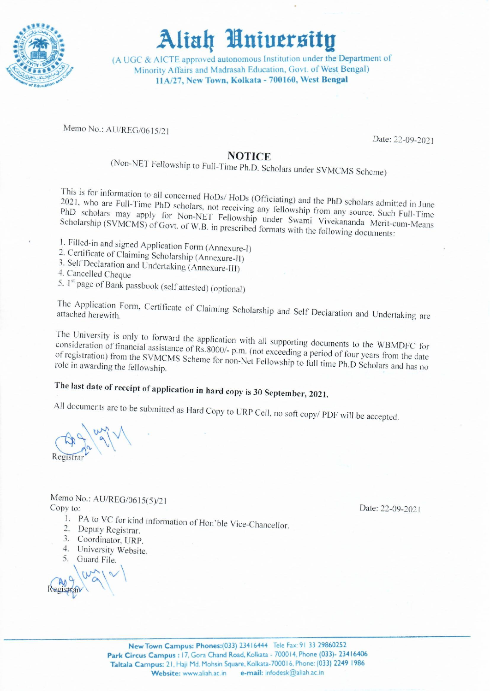

(A UGC & AICTE approved autonomous Institution under the Department of Minority Affairs and Madrasah Education, Govt. of West Bengal) 11A/27, New Town, Kolkata - 700160, West Bengal

Memo No.: AU/REG/0615/21

Date: 22-09-2021

#### **NOTICE**

(Non-NET Fellowship to Full-Time Ph.D. Scholars under SVMCMS Scheme)

This is for information to all concerned HoDs/HoDs (Officiating) and the PhD scholars admitted in June 2021, who are Full-Time PhD scholars, not receiving any fellowship from any source. Such Full-Time PhD scholars may apply for Non-NET Fellowship under Swami Vivekananda Merit-cum-Means Scholarship (SVMCMS) of Govt. of W.B. in prescribed formats with the following documents:

- 1. Filled-in and signed Application Form (Annexure-I)
- 2. Certificate of Claiming Scholarship (Annexure-II)
- 3. Self Declaration and Undertaking (Annexure-III)
- 4. Cancelled Cheque
- 5. 1<sup>st</sup> page of Bank passbook (self attested) (optional)

The Application Form, Certificate of Claiming Scholarship and Self Declaration and Undertaking are attached herewith.

The University is only to forward the application with all supporting documents to the WBMDFC for consideration of financial assistance of Rs.8000/- p.m. (not exceeding a period of four years from the date of registration) from the SVMCMS Scheme for non-Net Fellowship to full time Ph.D Scholars and has no role in awarding the fellowship.

## The last date of receipt of application in hard copy is 30 September, 2021.

All documents are to be submitted as Hard Copy to URP Cell, no soft copy/ PDF will be accepted.

Memo No.: AU/REG/0615(5)/21 Copy to:

- 1. PA to VC for kind information of Hon'ble Vice-Chancellor.
- 2. Deputy Registrar.
- 3. Coordinator, URP.
- 4. University Website.

 $5^{\circ}$ Guard File.

Date: 22-09-2021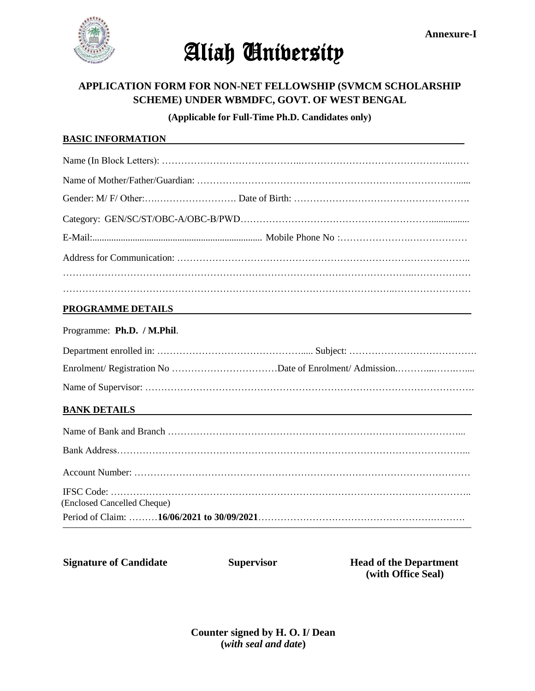

#### **APPLICATION FORM FOR NON-NET FELLOWSHIP (SVMCM SCHOLARSHIP SCHEME) UNDER WBMDFC, GOVT. OF WEST BENGAL**

**(Applicable for Full-Time Ph.D. Candidates only)**

#### **BASIC INFORMATION**

#### **PROGRAMME DETAILS**

#### Programme: **Ph.D. / M.Phil**.

#### **BANK DETAILS**

| (Enclosed Cancelled Cheque) |  |
|-----------------------------|--|

**Signature of Candidate Supervisor Head of the Department** 

 **(with Office Seal)**

**Counter signed by H. O. I/ Dean (***with seal and date***)**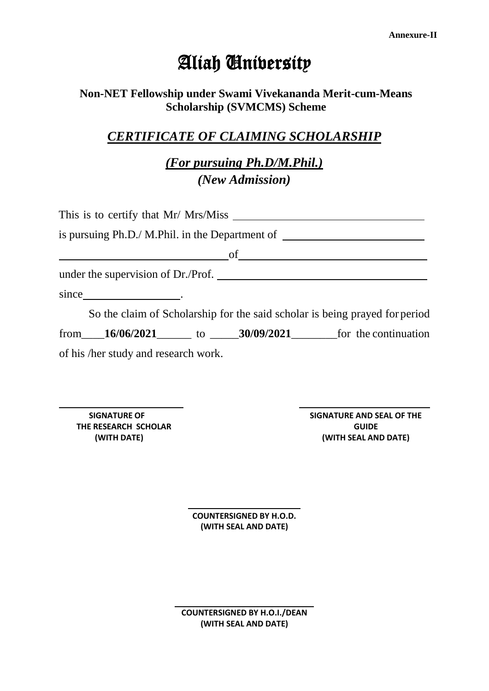### **Non-NET Fellowship under Swami Vivekananda Merit-cum-Means Scholarship (SVMCMS) Scheme**

### *CERTIFICATE OF CLAIMING SCHOLARSHIP*

*(For pursuing Ph.D/M.Phil.) (New Admission)*

|                                                               |  | is pursuing Ph.D./ M.Phil. in the Department of ________________________________ |
|---------------------------------------------------------------|--|----------------------------------------------------------------------------------|
| <u> 1989 - Johann Barn, fransk politik formuler (d. 1989)</u> |  |                                                                                  |
|                                                               |  |                                                                                  |
|                                                               |  |                                                                                  |
|                                                               |  | So the claim of Scholarship for the said scholar is being prayed for period      |
|                                                               |  | from $16/06/2021$ to $30/09/2021$ for the continuation                           |
| of his /her study and research work.                          |  |                                                                                  |

**SIGNATURE OF THE RESEARCH SCHOLAR (WITH DATE)**

**SIGNATURE AND SEAL OF THE GUIDE (WITH SEAL AND DATE)**

**COUNTERSIGNED BY H.O.D. (WITH SEAL AND DATE)**

**COUNTERSIGNED BY H.O.I./DEAN (WITH SEAL AND DATE)**